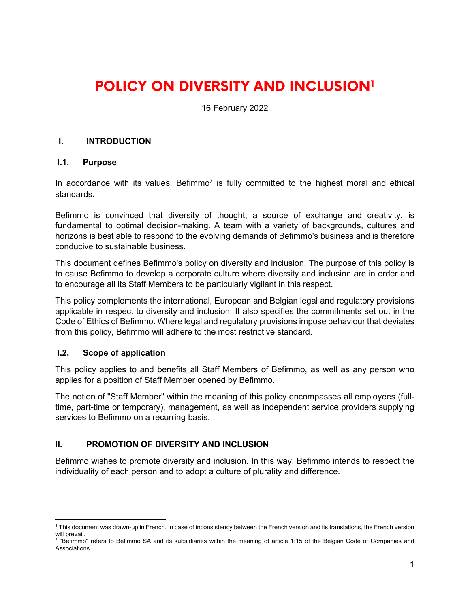# **POLICY ON DIVERSITY AND INCLUSION[1](#page-0-0)**

16 February 2022

## **I. INTRODUCTION**

#### **I.1. Purpose**

In accordance with its values, Befimmo<sup>[2](#page-0-1)</sup> is fully committed to the highest moral and ethical standards.

Befimmo is convinced that diversity of thought, a source of exchange and creativity, is fundamental to optimal decision-making. A team with a variety of backgrounds, cultures and horizons is best able to respond to the evolving demands of Befimmo's business and is therefore conducive to sustainable business.

This document defines Befimmo's policy on diversity and inclusion. The purpose of this policy is to cause Befimmo to develop a corporate culture where diversity and inclusion are in order and to encourage all its Staff Members to be particularly vigilant in this respect.

This policy complements the international, European and Belgian legal and regulatory provisions applicable in respect to diversity and inclusion. It also specifies the commitments set out in the Code of Ethics of Befimmo. Where legal and regulatory provisions impose behaviour that deviates from this policy, Befimmo will adhere to the most restrictive standard.

## **I.2. Scope of application**

This policy applies to and benefits all Staff Members of Befimmo, as well as any person who applies for a position of Staff Member opened by Befimmo.

The notion of "Staff Member" within the meaning of this policy encompasses all employees (fulltime, part-time or temporary), management, as well as independent service providers supplying services to Befimmo on a recurring basis.

## **II. PROMOTION OF DIVERSITY AND INCLUSION**

Befimmo wishes to promote diversity and inclusion. In this way, Befimmo intends to respect the individuality of each person and to adopt a culture of plurality and difference.

<span id="page-0-0"></span><sup>1</sup> This document was drawn-up in French. In case of inconsistency between the French version and its translations, the French version will prevail.

<span id="page-0-1"></span> $2$  "Befimmo" refers to Befimmo SA and its subsidiaries within the meaning of article 1:15 of the Belgian Code of Companies and Associations.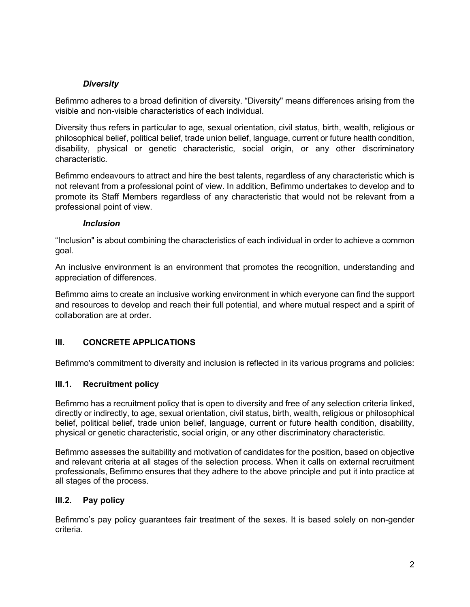# *Diversity*

Befimmo adheres to a broad definition of diversity. "Diversity" means differences arising from the visible and non-visible characteristics of each individual.

Diversity thus refers in particular to age, sexual orientation, civil status, birth, wealth, religious or philosophical belief, political belief, trade union belief, language, current or future health condition, disability, physical or genetic characteristic, social origin, or any other discriminatory characteristic.

Befimmo endeavours to attract and hire the best talents, regardless of any characteristic which is not relevant from a professional point of view. In addition, Befimmo undertakes to develop and to promote its Staff Members regardless of any characteristic that would not be relevant from a professional point of view.

#### *Inclusion*

"Inclusion" is about combining the characteristics of each individual in order to achieve a common goal.

An inclusive environment is an environment that promotes the recognition, understanding and appreciation of differences.

Befimmo aims to create an inclusive working environment in which everyone can find the support and resources to develop and reach their full potential, and where mutual respect and a spirit of collaboration are at order.

## **III. CONCRETE APPLICATIONS**

Befimmo's commitment to diversity and inclusion is reflected in its various programs and policies:

## **III.1. Recruitment policy**

Befimmo has a recruitment policy that is open to diversity and free of any selection criteria linked, directly or indirectly, to age, sexual orientation, civil status, birth, wealth, religious or philosophical belief, political belief, trade union belief, language, current or future health condition, disability, physical or genetic characteristic, social origin, or any other discriminatory characteristic.

Befimmo assesses the suitability and motivation of candidates for the position, based on objective and relevant criteria at all stages of the selection process. When it calls on external recruitment professionals, Befimmo ensures that they adhere to the above principle and put it into practice at all stages of the process.

## **III.2. Pay policy**

Befimmo's pay policy guarantees fair treatment of the sexes. It is based solely on non-gender criteria.